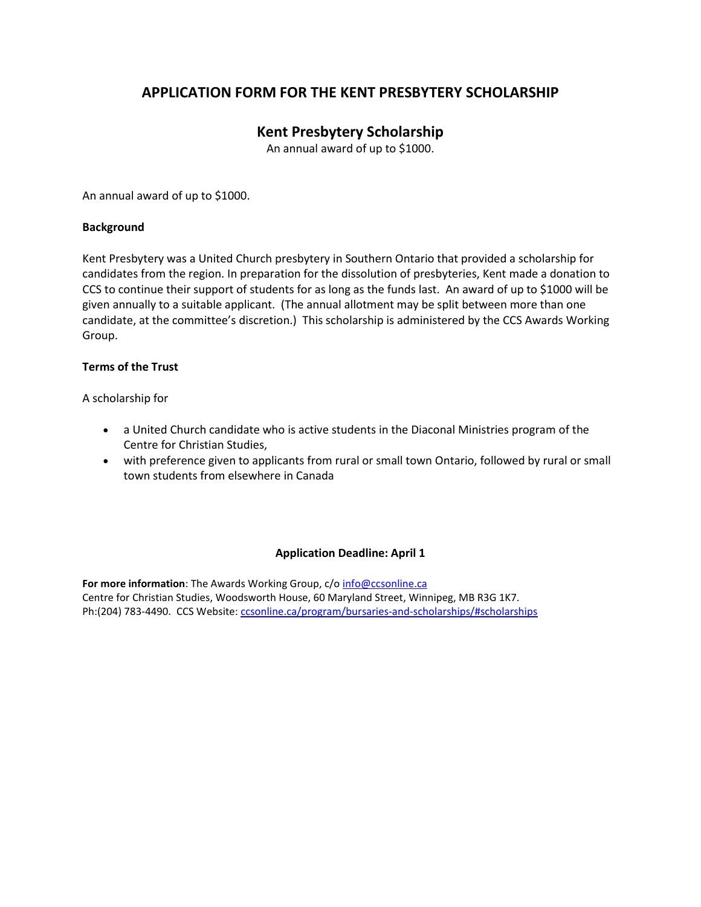## **APPLICATION FORM FOR THE KENT PRESBYTERY SCHOLARSHIP**

## **Kent Presbytery Scholarship**

An annual award of up to \$1000.

An annual award of up to \$1000.

#### **Background**

Kent Presbytery was a United Church presbytery in Southern Ontario that provided a scholarship for candidates from the region. In preparation for the dissolution of presbyteries, Kent made a donation to CCS to continue their support of students for as long as the funds last. An award of up to \$1000 will be given annually to a suitable applicant. (The annual allotment may be split between more than one candidate, at the committee's discretion.) This scholarship is administered by the CCS Awards Working Group.

#### **Terms of the Trust**

A scholarship for

- a United Church candidate who is active students in the Diaconal Ministries program of the Centre for Christian Studies,
- with preference given to applicants from rural or small town Ontario, followed by rural or small town students from elsewhere in Canada

#### **Application Deadline: April 1**

For more information: The Awards Working Group, c/o [info@ccsonline.ca](mailto:info@ccsonline.ca) Centre for Christian Studies, Woodsworth House, 60 Maryland Street, Winnipeg, MB R3G 1K7. Ph:(204) 783-4490. CCS Website: [ccsonline.ca/program/bursaries-and-scholarships/#scholarships](http://ccsonline.ca/program/bursaries-and-scholarships/#scholarships)